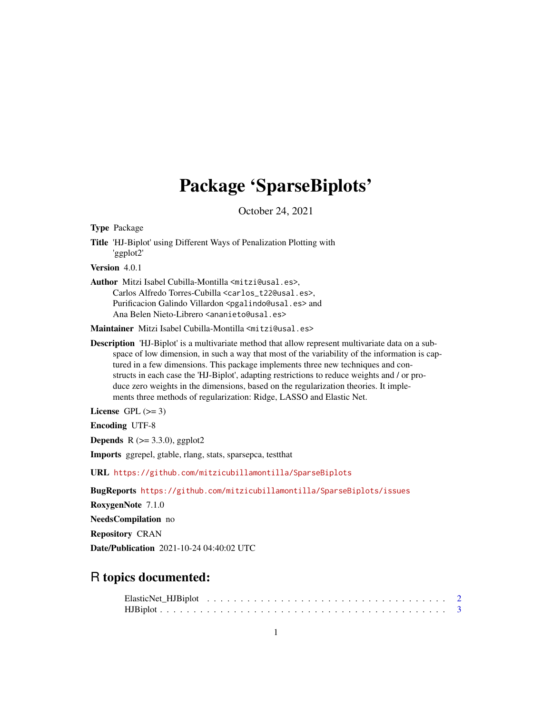## Package 'SparseBiplots'

October 24, 2021

<span id="page-0-0"></span>Type Package Title 'HJ-Biplot' using Different Ways of Penalization Plotting with 'ggplot2' Version 4.0.1 Author Mitzi Isabel Cubilla-Montilla <mitzi@usal.es>, Carlos Alfredo Torres-Cubilla <carlos\_t22@usal.es>, Purificacion Galindo Villardon <pgalindo@usal.es> and Ana Belen Nieto-Librero <ananieto@usal.es>

Maintainer Mitzi Isabel Cubilla-Montilla <mitzi@usal.es>

Description 'HJ-Biplot' is a multivariate method that allow represent multivariate data on a subspace of low dimension, in such a way that most of the variability of the information is captured in a few dimensions. This package implements three new techniques and constructs in each case the 'HJ-Biplot', adapting restrictions to reduce weights and / or produce zero weights in the dimensions, based on the regularization theories. It implements three methods of regularization: Ridge, LASSO and Elastic Net.

License GPL  $(>= 3)$ 

Encoding UTF-8

**Depends** R  $(>= 3.3.0)$ , ggplot2

Imports ggrepel, gtable, rlang, stats, sparsepca, testthat

URL <https://github.com/mitzicubillamontilla/SparseBiplots>

BugReports <https://github.com/mitzicubillamontilla/SparseBiplots/issues>

RoxygenNote 7.1.0

NeedsCompilation no

Repository CRAN

Date/Publication 2021-10-24 04:40:02 UTC

### R topics documented: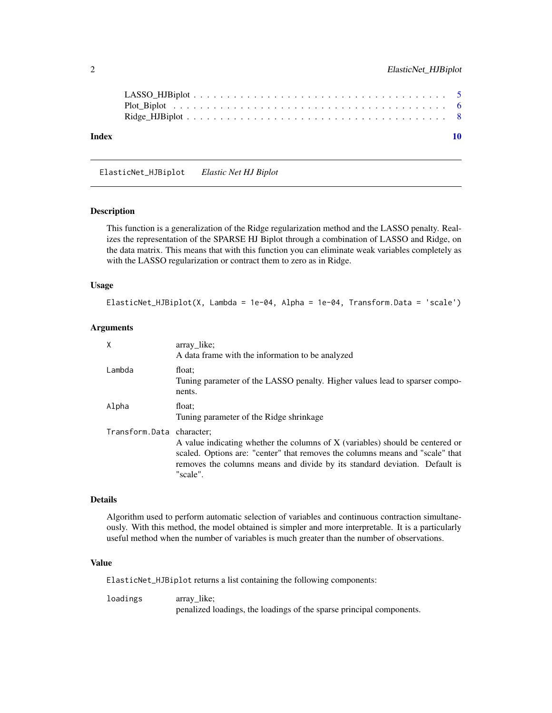<span id="page-1-0"></span>

| Index |  |  |  |  |  |  |  |  |  |  |  |  |  |  |  |  | 10 |
|-------|--|--|--|--|--|--|--|--|--|--|--|--|--|--|--|--|----|
|       |  |  |  |  |  |  |  |  |  |  |  |  |  |  |  |  |    |
|       |  |  |  |  |  |  |  |  |  |  |  |  |  |  |  |  |    |

<span id="page-1-1"></span>ElasticNet\_HJBiplot *Elastic Net HJ Biplot*

#### Description

This function is a generalization of the Ridge regularization method and the LASSO penalty. Realizes the representation of the SPARSE HJ Biplot through a combination of LASSO and Ridge, on the data matrix. This means that with this function you can eliminate weak variables completely as with the LASSO regularization or contract them to zero as in Ridge.

#### Usage

```
ElasticNet_HJBiplot(X, Lambda = 1e-04, Alpha = 1e-04, Transform.Data = 'scale')
```
#### Arguments

| X                         | array like;<br>A data frame with the information to be analyzed                                                                                                                                                                                          |
|---------------------------|----------------------------------------------------------------------------------------------------------------------------------------------------------------------------------------------------------------------------------------------------------|
| Lambda                    | float:<br>Tuning parameter of the LASSO penalty. Higher values lead to sparser compo-<br>nents.                                                                                                                                                          |
| Alpha                     | float:<br>Tuning parameter of the Ridge shrinkage                                                                                                                                                                                                        |
| Transform.Data character: | A value indicating whether the columns of X (variables) should be centered or<br>scaled. Options are: "center" that removes the columns means and "scale" that<br>removes the columns means and divide by its standard deviation. Default is<br>"scale". |

#### Details

Algorithm used to perform automatic selection of variables and continuous contraction simultaneously. With this method, the model obtained is simpler and more interpretable. It is a particularly useful method when the number of variables is much greater than the number of observations.

#### Value

ElasticNet\_HJBiplot returns a list containing the following components:

loadings array like; penalized loadings, the loadings of the sparse principal components.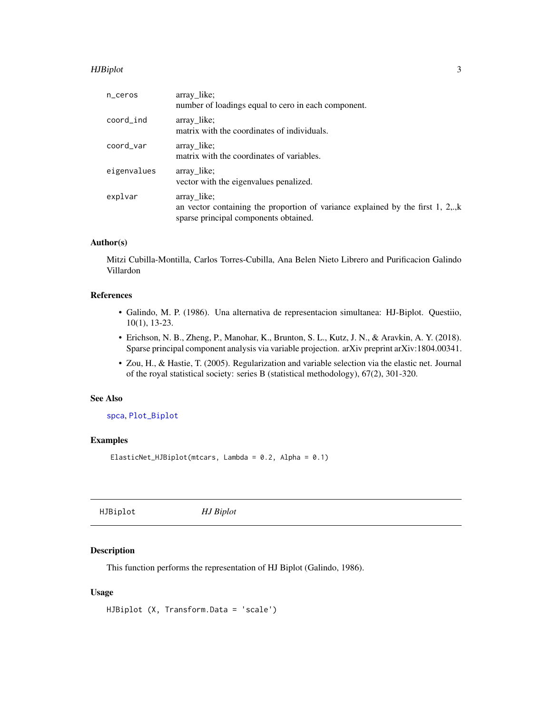#### <span id="page-2-0"></span>HJBiplot 3

| n_ceros     | array_like;<br>number of loadings equal to cero in each component.                                                                          |
|-------------|---------------------------------------------------------------------------------------------------------------------------------------------|
| coord_ind   | array_like;<br>matrix with the coordinates of individuals.                                                                                  |
| coord var   | array_like;<br>matrix with the coordinates of variables.                                                                                    |
| eigenvalues | array like;<br>vector with the eigenvalues penalized.                                                                                       |
| explvar     | array_like;<br>an vector containing the proportion of variance explained by the first $1, 2, ., k$<br>sparse principal components obtained. |

#### Author(s)

Mitzi Cubilla-Montilla, Carlos Torres-Cubilla, Ana Belen Nieto Librero and Purificacion Galindo Villardon

#### References

- Galindo, M. P. (1986). Una alternativa de representacion simultanea: HJ-Biplot. Questiio, 10(1), 13-23.
- Erichson, N. B., Zheng, P., Manohar, K., Brunton, S. L., Kutz, J. N., & Aravkin, A. Y. (2018). Sparse principal component analysis via variable projection. arXiv preprint arXiv:1804.00341.
- Zou, H., & Hastie, T. (2005). Regularization and variable selection via the elastic net. Journal of the royal statistical society: series B (statistical methodology), 67(2), 301-320.

#### See Also

[spca](#page-0-0), [Plot\\_Biplot](#page-5-1)

#### Examples

ElasticNet\_HJBiplot(mtcars, Lambda = 0.2, Alpha = 0.1)

<span id="page-2-1"></span>HJBiplot *HJ Biplot*

#### Description

This function performs the representation of HJ Biplot (Galindo, 1986).

#### Usage

HJBiplot (X, Transform.Data = 'scale')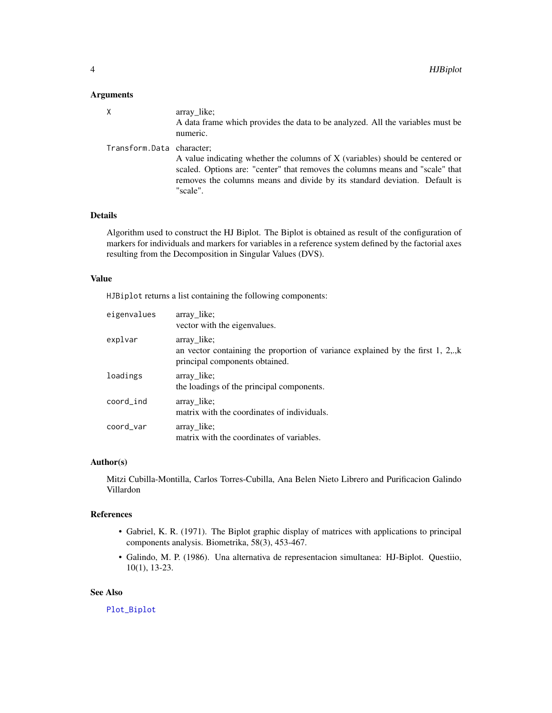#### <span id="page-3-0"></span>Arguments

|                           | array like;<br>A data frame which provides the data to be analyzed. All the variables must be<br>numeric.                                                                                                                                                |
|---------------------------|----------------------------------------------------------------------------------------------------------------------------------------------------------------------------------------------------------------------------------------------------------|
| Transform.Data character; | A value indicating whether the columns of X (variables) should be centered or<br>scaled. Options are: "center" that removes the columns means and "scale" that<br>removes the columns means and divide by its standard deviation. Default is<br>"scale". |

#### Details

Algorithm used to construct the HJ Biplot. The Biplot is obtained as result of the configuration of markers for individuals and markers for variables in a reference system defined by the factorial axes resulting from the Decomposition in Singular Values (DVS).

#### Value

HJBiplot returns a list containing the following components:

| eigenvalues | array_like;<br>vector with the eigenvalues.                                                                                          |
|-------------|--------------------------------------------------------------------------------------------------------------------------------------|
| explvar     | array like;<br>an vector containing the proportion of variance explained by the first $1, 2, ., k$<br>principal components obtained. |
| loadings    | array like;<br>the loadings of the principal components.                                                                             |
| coord_ind   | array like;<br>matrix with the coordinates of individuals.                                                                           |
| coord_var   | array_like;<br>matrix with the coordinates of variables.                                                                             |

#### Author(s)

Mitzi Cubilla-Montilla, Carlos Torres-Cubilla, Ana Belen Nieto Librero and Purificacion Galindo Villardon

#### References

- Gabriel, K. R. (1971). The Biplot graphic display of matrices with applications to principal components analysis. Biometrika, 58(3), 453-467.
- Galindo, M. P. (1986). Una alternativa de representacion simultanea: HJ-Biplot. Questiio, 10(1), 13-23.

#### See Also

[Plot\\_Biplot](#page-5-1)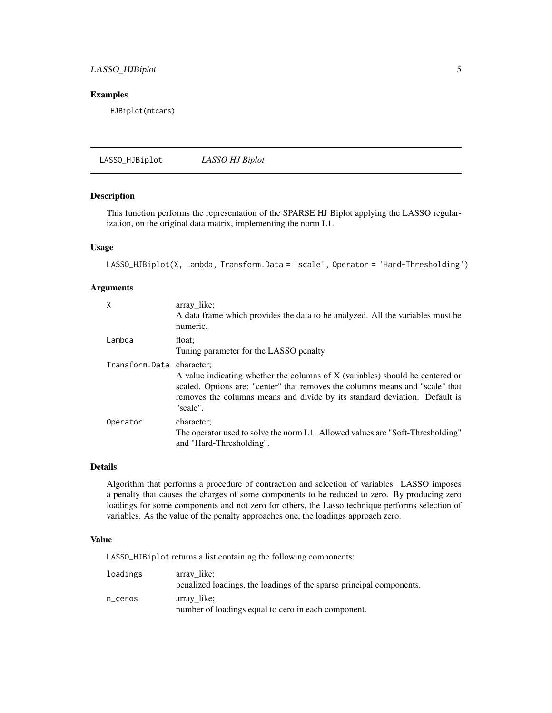#### <span id="page-4-0"></span>LASSO\_HJBiplot 5

#### Examples

HJBiplot(mtcars)

LASSO\_HJBiplot *LASSO HJ Biplot*

#### Description

This function performs the representation of the SPARSE HJ Biplot applying the LASSO regularization, on the original data matrix, implementing the norm L1.

#### Usage

LASSO\_HJBiplot(X, Lambda, Transform.Data = 'scale', Operator = 'Hard-Thresholding')

#### Arguments

| $\mathsf{X}$              | array_like;<br>A data frame which provides the data to be analyzed. All the variables must be<br>numeric.                                                                                                                                                |
|---------------------------|----------------------------------------------------------------------------------------------------------------------------------------------------------------------------------------------------------------------------------------------------------|
| Lambda                    | float:<br>Tuning parameter for the LASSO penalty                                                                                                                                                                                                         |
| Transform.Data character; | A value indicating whether the columns of X (variables) should be centered or<br>scaled. Options are: "center" that removes the columns means and "scale" that<br>removes the columns means and divide by its standard deviation. Default is<br>"scale". |
| Operator                  | character;<br>The operator used to solve the norm L1. Allowed values are "Soft-Thresholding"<br>and "Hard-Thresholding".                                                                                                                                 |

#### Details

Algorithm that performs a procedure of contraction and selection of variables. LASSO imposes a penalty that causes the charges of some components to be reduced to zero. By producing zero loadings for some components and not zero for others, the Lasso technique performs selection of variables. As the value of the penalty approaches one, the loadings approach zero.

#### Value

LASSO\_HJBiplot returns a list containing the following components:

| loadings | array like;                                                          |
|----------|----------------------------------------------------------------------|
|          | penalized loadings, the loadings of the sparse principal components. |
| n ceros  | array like;                                                          |
|          | number of loadings equal to cero in each component.                  |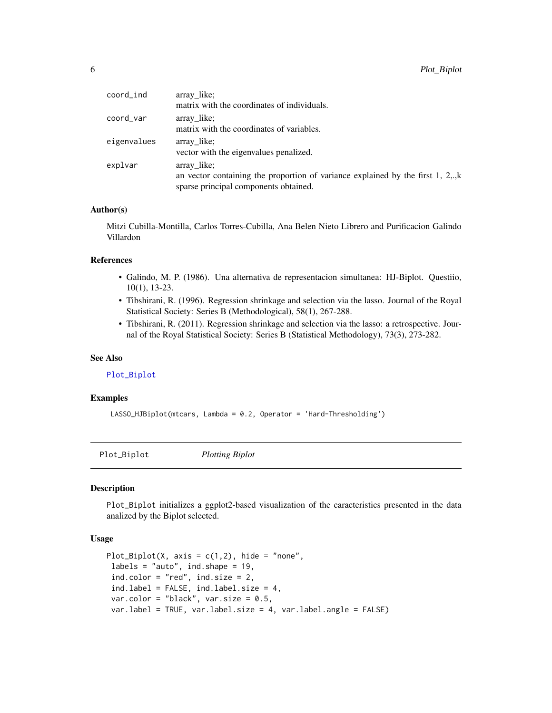<span id="page-5-0"></span>

| coord_ind   | array_like;<br>matrix with the coordinates of individuals.                                                                                 |
|-------------|--------------------------------------------------------------------------------------------------------------------------------------------|
| coord_var   | array_like;                                                                                                                                |
|             | matrix with the coordinates of variables.                                                                                                  |
| eigenvalues | array like;<br>vector with the eigenvalues penalized.                                                                                      |
| explvar     | array like;<br>an vector containing the proportion of variance explained by the first 1, 2,., $k$<br>sparse principal components obtained. |

#### Author(s)

Mitzi Cubilla-Montilla, Carlos Torres-Cubilla, Ana Belen Nieto Librero and Purificacion Galindo Villardon

#### References

- Galindo, M. P. (1986). Una alternativa de representacion simultanea: HJ-Biplot. Questiio, 10(1), 13-23.
- Tibshirani, R. (1996). Regression shrinkage and selection via the lasso. Journal of the Royal Statistical Society: Series B (Methodological), 58(1), 267-288.
- Tibshirani, R. (2011). Regression shrinkage and selection via the lasso: a retrospective. Journal of the Royal Statistical Society: Series B (Statistical Methodology), 73(3), 273-282.

#### See Also

#### [Plot\\_Biplot](#page-5-1)

#### Examples

LASSO\_HJBiplot(mtcars, Lambda = 0.2, Operator = 'Hard-Thresholding')

<span id="page-5-1"></span>Plot\_Biplot *Plotting Biplot*

#### Description

Plot\_Biplot initializes a ggplot2-based visualization of the caracteristics presented in the data analized by the Biplot selected.

#### Usage

```
Plot_Biplot(X, axis = c(1,2), hide = "none",
labels = "auto", ind.shape = 19,
ind.color = "red", ind.size = 2,
ind.label = FALSE, ind.label.size = 4,
var.color = "black", var.size = 0.5,
var.label = TRUE, var.label.size = 4, var.label.angle = FALSE)
```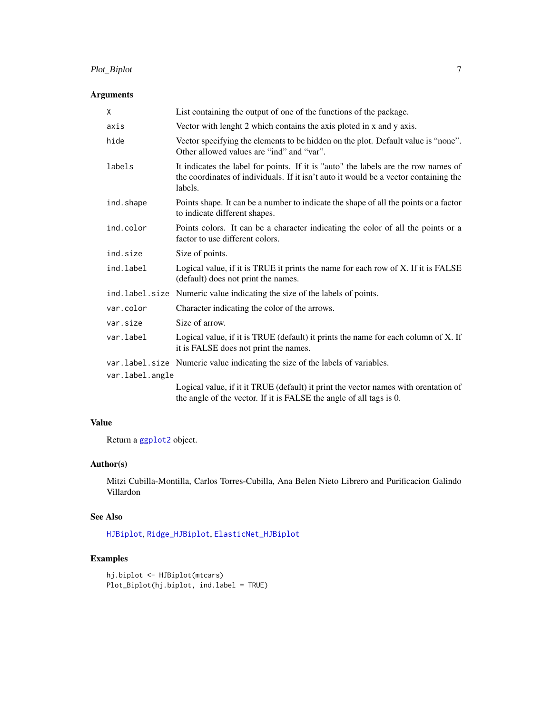#### <span id="page-6-0"></span>Plot\_Biplot 7

#### Arguments

| X               | List containing the output of one of the functions of the package.                                                                                                                    |
|-----------------|---------------------------------------------------------------------------------------------------------------------------------------------------------------------------------------|
| axis            | Vector with lenght 2 which contains the axis ploted in x and y axis.                                                                                                                  |
| hide            | Vector specifying the elements to be hidden on the plot. Default value is "none".<br>Other allowed values are "ind" and "var".                                                        |
| labels          | It indicates the label for points. If it is "auto" the labels are the row names of<br>the coordinates of individuals. If it isn't auto it would be a vector containing the<br>labels. |
| ind.shape       | Points shape. It can be a number to indicate the shape of all the points or a factor<br>to indicate different shapes.                                                                 |
| ind.color       | Points colors. It can be a character indicating the color of all the points or a<br>factor to use different colors.                                                                   |
| ind.size        | Size of points.                                                                                                                                                                       |
| ind.label       | Logical value, if it is TRUE it prints the name for each row of X. If it is FALSE<br>(default) does not print the names.                                                              |
|                 | ind. label. size Numeric value indicating the size of the labels of points.                                                                                                           |
| var.color       | Character indicating the color of the arrows.                                                                                                                                         |
| var.size        | Size of arrow.                                                                                                                                                                        |
| var.label       | Logical value, if it is TRUE (default) it prints the name for each column of X. If<br>it is FALSE does not print the names.                                                           |
|                 | var. label. size Numeric value indicating the size of the labels of variables.                                                                                                        |
| var.label.angle |                                                                                                                                                                                       |
|                 | Logical value, if it it TRUE (default) it print the vector names with orentation of<br>the angle of the vector. If it is FALSE the angle of all tags is 0.                            |

#### Value

Return a [ggplot2](#page-0-0) object.

#### Author(s)

Mitzi Cubilla-Montilla, Carlos Torres-Cubilla, Ana Belen Nieto Librero and Purificacion Galindo Villardon

#### See Also

[HJBiplot](#page-2-1), [Ridge\\_HJBiplot](#page-7-1), [ElasticNet\\_HJBiplot](#page-1-1)

#### Examples

```
hj.biplot <- HJBiplot(mtcars)
Plot_Biplot(hj.biplot, ind.label = TRUE)
```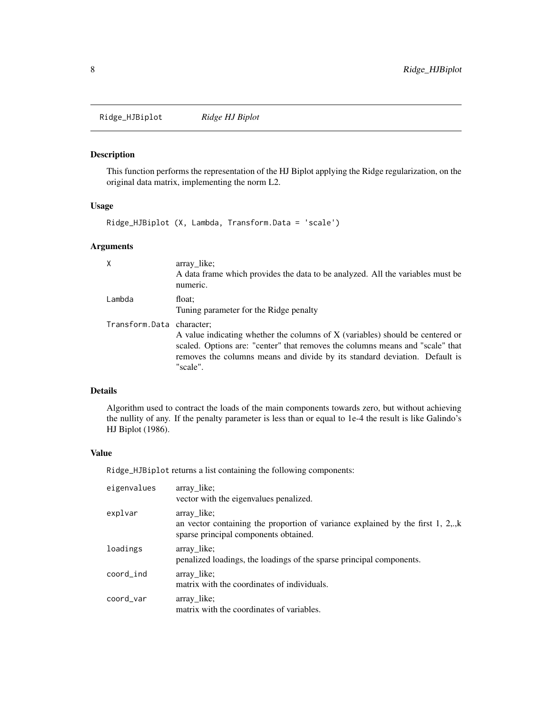<span id="page-7-1"></span><span id="page-7-0"></span>Ridge\_HJBiplot *Ridge HJ Biplot*

#### Description

This function performs the representation of the HJ Biplot applying the Ridge regularization, on the original data matrix, implementing the norm L2.

#### Usage

Ridge\_HJBiplot (X, Lambda, Transform.Data = 'scale')

#### Arguments

| X                         | array like;<br>A data frame which provides the data to be analyzed. All the variables must be<br>numeric.                                                                                                                                                |
|---------------------------|----------------------------------------------------------------------------------------------------------------------------------------------------------------------------------------------------------------------------------------------------------|
| Lambda                    | float:<br>Tuning parameter for the Ridge penalty                                                                                                                                                                                                         |
| Transform.Data character; | A value indicating whether the columns of X (variables) should be centered or<br>scaled. Options are: "center" that removes the columns means and "scale" that<br>removes the columns means and divide by its standard deviation. Default is<br>"scale". |

#### Details

Algorithm used to contract the loads of the main components towards zero, but without achieving the nullity of any. If the penalty parameter is less than or equal to 1e-4 the result is like Galindo's HJ Biplot (1986).

#### Value

Ridge\_HJBiplot returns a list containing the following components:

| eigenvalues | array like;<br>vector with the eigenvalues penalized.                                                                                            |
|-------------|--------------------------------------------------------------------------------------------------------------------------------------------------|
| explvar     | array like;<br>an vector containing the proportion of variance explained by the first 1, $2,\mathbf{k}$<br>sparse principal components obtained. |
| loadings    | array like;<br>penalized loadings, the loadings of the sparse principal components.                                                              |
| coord_ind   | array like;<br>matrix with the coordinates of individuals.                                                                                       |
| coord var   | array like;<br>matrix with the coordinates of variables.                                                                                         |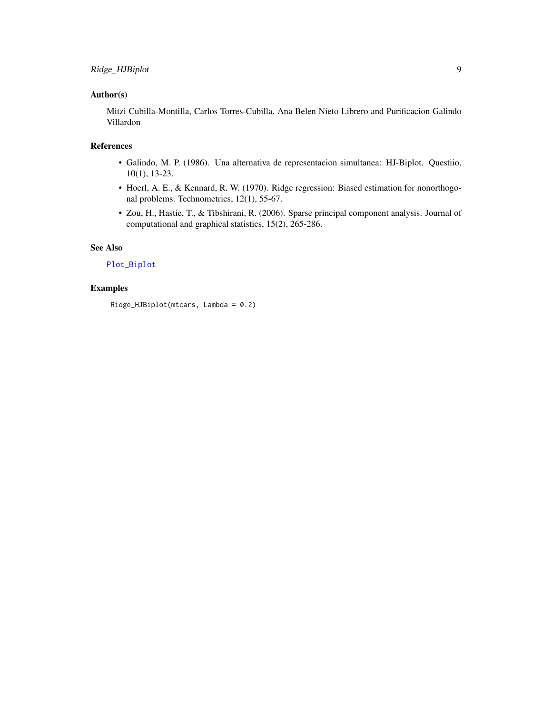#### <span id="page-8-0"></span>Author(s)

Mitzi Cubilla-Montilla, Carlos Torres-Cubilla, Ana Belen Nieto Librero and Purificacion Galindo Villardon

#### References

- Galindo, M. P. (1986). Una alternativa de representacion simultanea: HJ-Biplot. Questiio, 10(1), 13-23.
- Hoerl, A. E., & Kennard, R. W. (1970). Ridge regression: Biased estimation for nonorthogonal problems. Technometrics, 12(1), 55-67.
- Zou, H., Hastie, T., & Tibshirani, R. (2006). Sparse principal component analysis. Journal of computational and graphical statistics, 15(2), 265-286.

#### See Also

#### [Plot\\_Biplot](#page-5-1)

#### Examples

Ridge\_HJBiplot(mtcars, Lambda = 0.2)